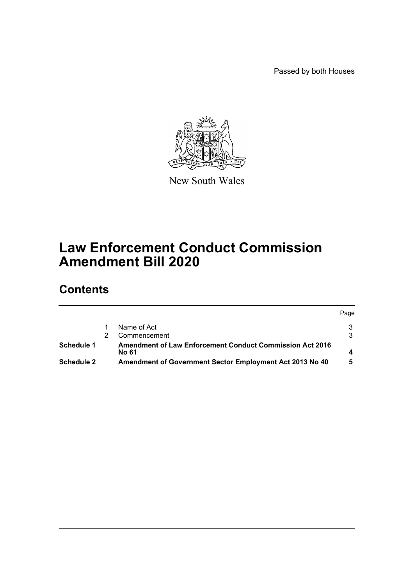Passed by both Houses



New South Wales

## **Law Enforcement Conduct Commission Amendment Bill 2020**

## **Contents**

|                   |                                                                          | Page |
|-------------------|--------------------------------------------------------------------------|------|
|                   | Name of Act                                                              |      |
|                   | Commencement                                                             |      |
| Schedule 1        | <b>Amendment of Law Enforcement Conduct Commission Act 2016</b><br>No 61 |      |
| <b>Schedule 2</b> | Amendment of Government Sector Employment Act 2013 No 40                 |      |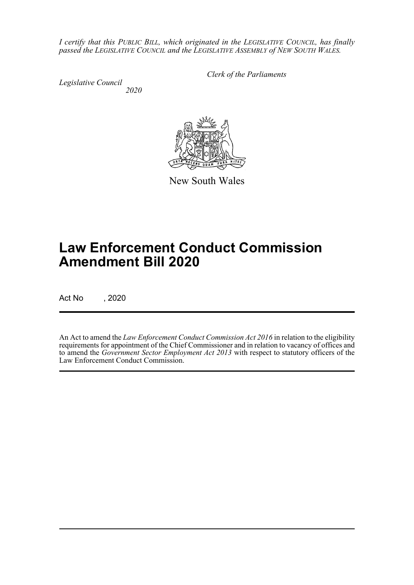*I certify that this PUBLIC BILL, which originated in the LEGISLATIVE COUNCIL, has finally passed the LEGISLATIVE COUNCIL and the LEGISLATIVE ASSEMBLY of NEW SOUTH WALES.*

*Legislative Council 2020* *Clerk of the Parliaments*

New South Wales

# **Law Enforcement Conduct Commission Amendment Bill 2020**

Act No , 2020

An Act to amend the *Law Enforcement Conduct Commission Act 2016* in relation to the eligibility requirements for appointment of the Chief Commissioner and in relation to vacancy of offices and to amend the *Government Sector Employment Act 2013* with respect to statutory officers of the Law Enforcement Conduct Commission.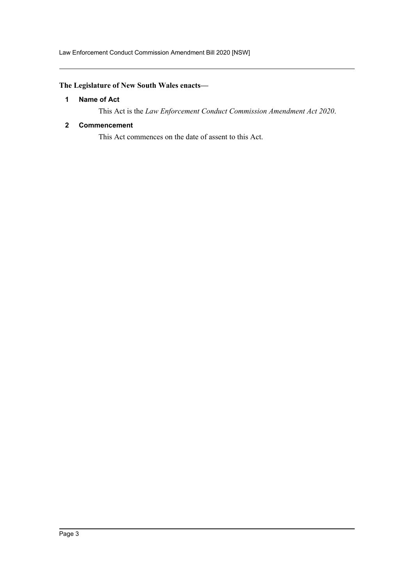Law Enforcement Conduct Commission Amendment Bill 2020 [NSW]

## <span id="page-2-0"></span>**The Legislature of New South Wales enacts—**

#### **1 Name of Act**

This Act is the *Law Enforcement Conduct Commission Amendment Act 2020*.

#### <span id="page-2-1"></span>**2 Commencement**

This Act commences on the date of assent to this Act.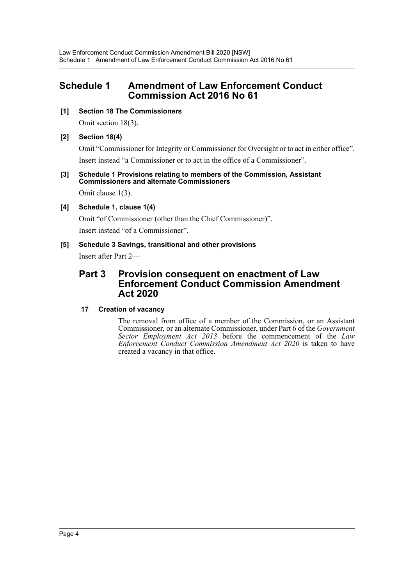## <span id="page-3-0"></span>**Schedule 1 Amendment of Law Enforcement Conduct Commission Act 2016 No 61**

#### **[1] Section 18 The Commissioners**

Omit section 18(3).

#### **[2] Section 18(4)**

Omit "Commissioner for Integrity or Commissioner for Oversight or to act in either office". Insert instead "a Commissioner or to act in the office of a Commissioner".

#### **[3] Schedule 1 Provisions relating to members of the Commission, Assistant Commissioners and alternate Commissioners**

Omit clause 1(3).

### **[4] Schedule 1, clause 1(4)**

Omit "of Commissioner (other than the Chief Commissioner)". Insert instead "of a Commissioner".

#### **[5] Schedule 3 Savings, transitional and other provisions**

Insert after Part 2—

## **Part 3 Provision consequent on enactment of Law Enforcement Conduct Commission Amendment Act 2020**

### **17 Creation of vacancy**

The removal from office of a member of the Commission, or an Assistant Commissioner, or an alternate Commissioner, under Part 6 of the *Government Sector Employment Act 2013* before the commencement of the *Law Enforcement Conduct Commission Amendment Act 2020* is taken to have created a vacancy in that office.